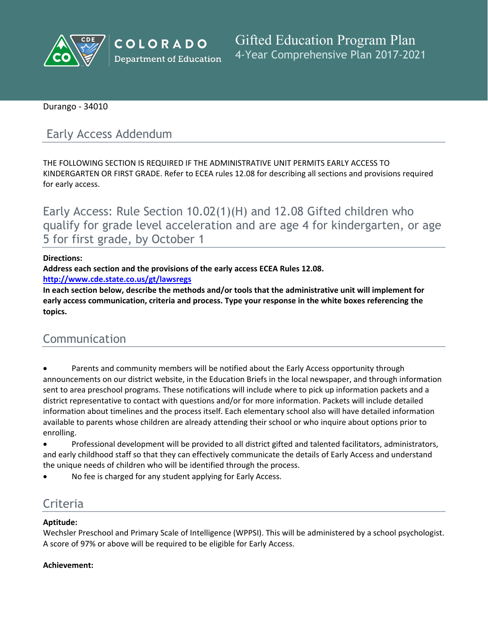

**COLORADO Department of Education** 

**Gifted Education Program Plan** 4-Year Comprehensive Plan 2017-2021

Durango - 34010

## Early Access Addendum

THE FOLLOWING SECTION IS REQUIRED IF THE ADMINISTRATIVE UNIT PERMITS EARLY ACCESS TO KINDERGARTEN OR FIRST GRADE. Refer to ECEA rules 12.08 for describing all sections and provisions required for early access.

Early Access: Rule Section 10.02(1)(H) and 12.08 Gifted children who qualify for grade level acceleration and are age 4 for kindergarten, or age 5 for first grade, by October 1

#### **Directions:**

**Address each section and the provisions of the early access ECEA Rules 12.08.**

**<http://www.cde.state.co.us/gt/lawsregs>**

**In each section below, describe the methods and/or tools that the administrative unit will implement for early access communication, criteria and process. Type your response in the white boxes referencing the topics.**

# Communication

- Parents and community members will be notified about the Early Access opportunity through announcements on our district website, in the Education Briefs in the local newspaper, and through information sent to area preschool programs. These notifications will include where to pick up information packets and a district representative to contact with questions and/or for more information. Packets will include detailed information about timelines and the process itself. Each elementary school also will have detailed information available to parents whose children are already attending their school or who inquire about options prior to enrolling.
- Professional development will be provided to all district gifted and talented facilitators, administrators, and early childhood staff so that they can effectively communicate the details of Early Access and understand the unique needs of children who will be identified through the process.
- No fee is charged for any student applying for Early Access.

## **Criteria**

#### **Aptitude:**

Wechsler Preschool and Primary Scale of Intelligence (WPPSI). This will be administered by a school psychologist. A score of 97% or above will be required to be eligible for Early Access.

#### **Achievement:**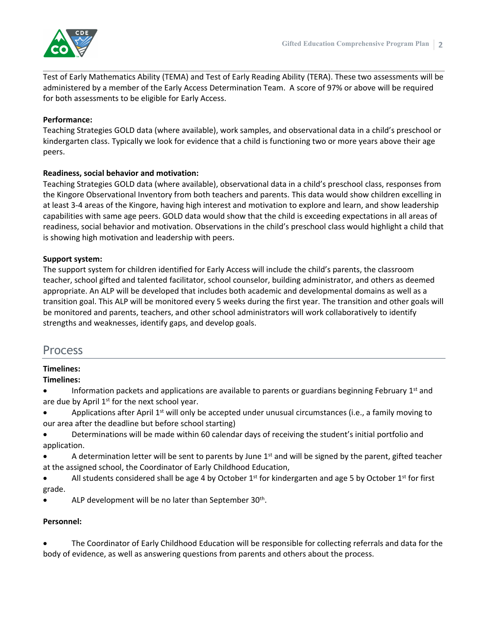

Test of Early Mathematics Ability (TEMA) and Test of Early Reading Ability (TERA). These two assessments will be administered by a member of the Early Access Determination Team. A score of 97% or above will be required for both assessments to be eligible for Early Access.

#### **Performance:**

Teaching Strategies GOLD data (where available), work samples, and observational data in a child's preschool or kindergarten class. Typically we look for evidence that a child is functioning two or more years above their age peers.

#### **Readiness, social behavior and motivation:**

Teaching Strategies GOLD data (where available), observational data in a child's preschool class, responses from the Kingore Observational Inventory from both teachers and parents. This data would show children excelling in at least 3-4 areas of the Kingore, having high interest and motivation to explore and learn, and show leadership capabilities with same age peers. GOLD data would show that the child is exceeding expectations in all areas of readiness, social behavior and motivation. Observations in the child's preschool class would highlight a child that is showing high motivation and leadership with peers.

#### **Support system:**

The support system for children identified for Early Access will include the child's parents, the classroom teacher, school gifted and talented facilitator, school counselor, building administrator, and others as deemed appropriate. An ALP will be developed that includes both academic and developmental domains as well as a transition goal. This ALP will be monitored every 5 weeks during the first year. The transition and other goals will be monitored and parents, teachers, and other school administrators will work collaboratively to identify strengths and weaknesses, identify gaps, and develop goals.

### Process

### **Timelines:**

#### **Timelines:**

- Information packets and applications are available to parents or guardians beginning February 1<sup>st</sup> and are due by April 1<sup>st</sup> for the next school year.
- Applications after April 1<sup>st</sup> will only be accepted under unusual circumstances (i.e., a family moving to our area after the deadline but before school starting)
- Determinations will be made within 60 calendar days of receiving the student's initial portfolio and application.
- A determination letter will be sent to parents by June 1<sup>st</sup> and will be signed by the parent, gifted teacher at the assigned school, the Coordinator of Early Childhood Education,
- All students considered shall be age 4 by October 1<sup>st</sup> for kindergarten and age 5 by October 1<sup>st</sup> for first grade.
- ALP development will be no later than September 30<sup>th</sup>.

#### **Personnel:**

 The Coordinator of Early Childhood Education will be responsible for collecting referrals and data for the body of evidence, as well as answering questions from parents and others about the process.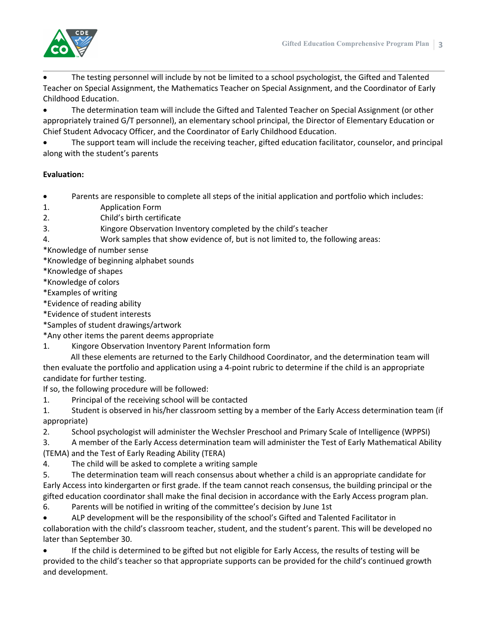

 The testing personnel will include by not be limited to a school psychologist, the Gifted and Talented Teacher on Special Assignment, the Mathematics Teacher on Special Assignment, and the Coordinator of Early Childhood Education.

 The determination team will include the Gifted and Talented Teacher on Special Assignment (or other appropriately trained G/T personnel), an elementary school principal, the Director of Elementary Education or Chief Student Advocacy Officer, and the Coordinator of Early Childhood Education.

 The support team will include the receiving teacher, gifted education facilitator, counselor, and principal along with the student's parents

#### **Evaluation:**

Parents are responsible to complete all steps of the initial application and portfolio which includes:

- 1. Application Form
- 2. Child's birth certificate
- 3. Kingore Observation Inventory completed by the child's teacher
- 4. Work samples that show evidence of, but is not limited to, the following areas:

\*Knowledge of number sense

\*Knowledge of beginning alphabet sounds

\*Knowledge of shapes

\*Knowledge of colors

\*Examples of writing

\*Evidence of reading ability

\*Evidence of student interests

\*Samples of student drawings/artwork

\*Any other items the parent deems appropriate

1. Kingore Observation Inventory Parent Information form

All these elements are returned to the Early Childhood Coordinator, and the determination team will then evaluate the portfolio and application using a 4-point rubric to determine if the child is an appropriate candidate for further testing.

If so, the following procedure will be followed:

1. Principal of the receiving school will be contacted

1. Student is observed in his/her classroom setting by a member of the Early Access determination team (if appropriate)

2. School psychologist will administer the Wechsler Preschool and Primary Scale of Intelligence (WPPSI)

3. A member of the Early Access determination team will administer the Test of Early Mathematical Ability (TEMA) and the Test of Early Reading Ability (TERA)

4. The child will be asked to complete a writing sample

5. The determination team will reach consensus about whether a child is an appropriate candidate for Early Access into kindergarten or first grade. If the team cannot reach consensus, the building principal or the gifted education coordinator shall make the final decision in accordance with the Early Access program plan.

6. Parents will be notified in writing of the committee's decision by June 1st

 ALP development will be the responsibility of the school's Gifted and Talented Facilitator in collaboration with the child's classroom teacher, student, and the student's parent. This will be developed no later than September 30.

 If the child is determined to be gifted but not eligible for Early Access, the results of testing will be provided to the child's teacher so that appropriate supports can be provided for the child's continued growth and development.